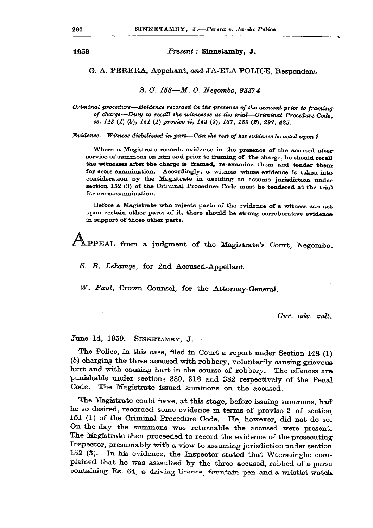**1959** *Present:* **Sinnetamby, J.** 

## **G. A. PERERA, Appellant,** *and* **JA-ELA POLICE, Respondent**

*8. G. 158—M. G. Negombo, 93374* 

*Criminal procedure—Evidence recorded in the presence of the accused prior to framing of charge—Duty to recall the witnesses at the trial—Criminal Procedure Code. ss. 148 (1)* (6), *151 (1) proviso U, 152* **(3),** *187, 189 (2), 297, 425.* 

*Evidence—Witness disbelieved in part—Can the rest of his evidence be acted upon 1* 

Where a Magistrate records evidence in the presence of the accused afterservice of summons on him and prior to framing of the charge, he should recall the witnesses after the charge is framed, re-examine them and tender them for cross-examination. Accordingly, a witness whose evidence is taken into consideration by the Magistrate in deciding to assume jurisdiction under section 152 (3) of the Criminal Procedure Code must be tendered at the trial for cross-examination.

Before a Magistrate who rejects parts of the evidence of a witness can act upon certain other parts of it, there should be strong corroborative evidence in support of those other parts.

 ${\color{blue}\mathbb{A}}_1$ 

S. B. Lekamge, for 2nd Accused-Appellant.

W. Paul, Crown Counsel, for the Attorney-General.

*Gur. adv. vuli.* 

## **June 14, 1959. SINNETAMBY, J. —**

**The Police, in this case, filed in Court a report under Section 148 (1) (&) charging the three accused with robbery, voluntarily causing grievous hurt and with causing hurt in the course of robbery. The offences are punishable under sections 380, 318 and 382 respectively of the Penal Code. The Magistrate issued summons on the accused.** 

**The Magistrate could have, at this stage, before issuing summons, had he so desired, recorded some evidence in terms of proviso 2 of section 151 (1) of the Criminal Procedure Code. He, however, did not do so. On the day the summons was returnable the accused were present. The Magistrate then proceeded to record the evidence of the prosecuting Inspector, presumably with a view to assuming jurisdiction under section. 152 (3). In his evidence, the Inspector stated that Weerasinghe complained that he was assaulted by the three accused, robbed of a pursecontaining Rs. 64, a driving licence, fountain pen and a wristlet watch**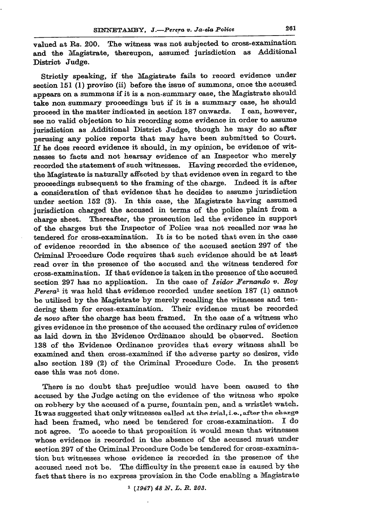valued at Rs. 200. The witness was not subjected to cross-examination **and the Magistrate, thereupon, assumed jurisdiction as Additional District Judge.** 

**Strictly speaking, if the Magistrate fails to record evidence under section 151 (1) proviso (ii) before the issue of summons, once the accused appears on a summons if it is a non-summary ease, the Magistrate should take non summary proceedings but if it is a summary case, he should proceed in the matter indicated in section 1S7 onwards. I can, however, see no valid objection to bis recording some evidence in order to assume jurisdiction as Additional District Judge, though he may do so after perusing any police reports that may have been submitted to Court. If he does record evidence it should, in my opinion, be evidence of witnesses to facts and not hearsay evidence of an Inspector who merely recorded the statement of such witnesses. Having recorded the evidence, the Magistrate is naturally affected by that evidence even in regard to the**  proceedings subsequent to the framing of the charge. Indeed it is after **a consideration of that evidence that he decides to assume jurisdiction under section 152 (3). In this case, the Magistrate having assumed jurisdiction charged the accused in terms of the police plaint from a charge sheet. Thereafter, the prosecution led the evidence in support of the charges but the Inspector of Police was not recalled nor was he tendered for cross-examination. It is to be noted that even in the case of evidence recorded in the absence of the accused section 297 of the Criminal Procedure Code requires that such evidence should be at least read over in the presence of the accused and the witness tendered for cross-examination. If that evidence is taken in the presence of the accused section 297 has no application. In the case of** *Isidor Fernando v. Roy Perera<sup>1</sup>*  **it was held that evidence recorded under section 187 (1) cannot be utilised by the Magistrate by merely recalling the witnesses and tendering them for cross-examination. Their evidence must be recorded**  *de novo* **after the charge has been framed. In the case of a witness who gives evidence in the presence of the accused the ordinary rules of evidence as laid down in the Evidence Ordinance should be observed. Section 138 of the Evidence Ordinance provides that every witness shall be examined and then cross-examined if the adverse party so desires, vide also section 189 (2) of the Criminal Procedure Code. In the present ease this was not done.** 

**There is no doubt that prejudice would have been caused to the accused by the Judge acting on the evidence of the witness who spoke on robbery by the accused of a purse, fountain pen, and a wristlet watch.**  It was suggested that only witnesses called at the trial.i.e., after the charge **had been framed, who need be tendered for cross-examination. I do not agree. To accede to that proposition it would mean that witnesses whose evidence is recorded in the absence of the accused must under section 297 of the Criminal Procedure Code be tendered for cross-examination but witnesses whose evidence is recorded in the presence of the**  accused need not be. The difficulty in the present case is caused by the **fact that there is no express provision in the Code enabling a Magistrate** 

*1 (1947) 48 N. L. B. 203.*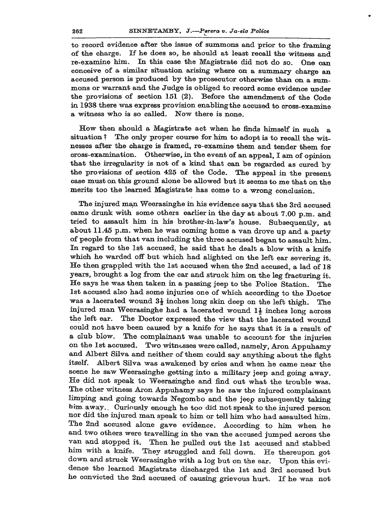**to record evidence after the issue of summons and prior to the framing of the charge. If he does so, he should at least recall the witness and re-examine him. In this case the Magistrate did not do so. One can conceive of a similar situation arising where on a summary charge an accused person is produced by the prosecutor otherwise than on a summons or warrant and the Judge is obliged to record some evidence under the provisions of section 151 (2). Before the amendment of the Code in 1938 there was express provision enablingthe accused to cross-examine a witness who is so called. Now there is none.** 

**How then should a Magistrate act when he finds himself in such a situation ? The only proper course for him to adopt is to recall the witnesses after the charge is framed, re-examine them and tender them for cross-examination. Otherwise, in the event of an appeal, I am of opinion that the irregularity is not of a kind that can be regarded as cured by the provisions of section 425 of the Code. The appeal in the present case must on this ground alone be allowed but it seems to me that on the merits too the learned Magistrate has come to a wrong conclusion.** 

**The injured man Weerasinghe in his evidence says that the 3rd accused came drunk with some others earlier in the day at about 7.00 p.m. and tried to assault him in his brother-in-law's house. Subsequently, at about 11.45 p.m. when he was coming home a van drove up and a party of people from that van including the three accused began to assault him. In regard to the 1st accused, he said that he dealt a blow with a knife which he warded off but which had alighted on the left ear severing it. He then grappled with the 1st accused when the 2nd accused, a lad of 18 years, brought a log from the car and struck him on the leg fracturing it. He says he was then taken in a passing jeep to the Police Station. The 1st accused also had some injuries one of which according to the Doctor was a lacerated wound 3£ inches long skin deep on the left thigh. The injured man Weerasinghe had a lacerated wound 1 | inches long across the left ear. The Doctor expressed the view that the lacerated wound could not have been caused by a knife for he says that it is a result of a club blow. The complainant was unable to account for the injuries on the 1st accused. Two witnesses were called, namely, Aron Appuhamy and Albert Silva and neither of them could say anything about the fight**  itself. Albert Silva was awakened by cries and when he came near the **scene he saw Weerasinghe getting into a military jeep and going away. He did not speak to Weerasinghe and find out what the trouble was. The other witness Aron Appuhamy says he saw the injured complainant limping and going towards Negombo and the jeep subsequently taking him. away.. Curiously enough he too did not speak to the injured person nor did the injured man speak to him or tell him who had assaulted him. The 2nd accused alone gave evidence. According to him when he**  and two others were travelling in the van the accused jumped across the **van and stopped it. Then he pulled out the 1st accused and stabbed**  van and stopped it. Then he pulled out the 1st accused and stabbed him with a knife. They struggled and fell down. He thereupon got him with a knife. They struggled and fell down. He thereupon got down and struck Weerasinghe with a log but on the ear. Upon this evi**dence the learned Magistrate discharged the 1st and 3rd accused but**  he convicted the 2nd accused of causing grievous hurt. If he was not been